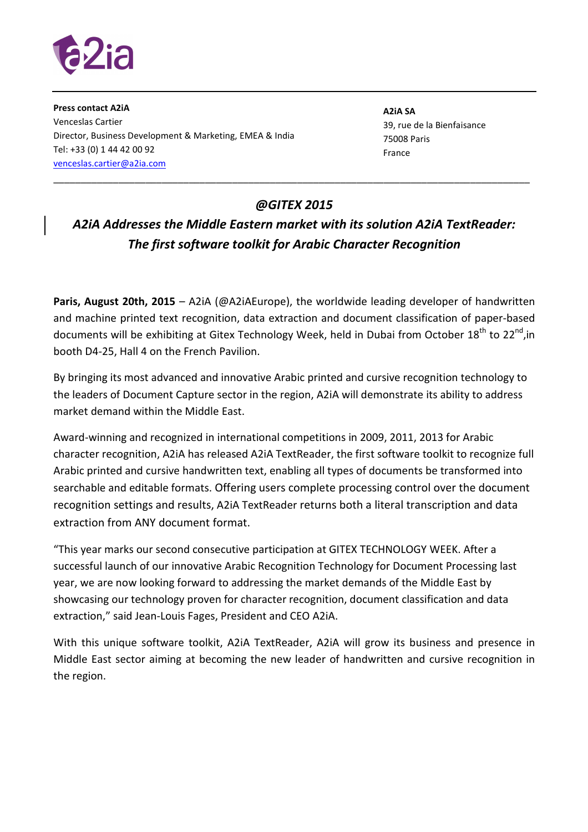

**Press contact A2iA**  Venceslas Cartier Director, Business Development & Marketing, EMEA & India Tel: +33 (0) 1 44 42 00 92 venceslas.cartier@a2ia.com

**A2iA SA** 39, rue de la Bienfaisance 75008 Paris France

## *@GITEX 2015*

\_\_\_\_\_\_\_\_\_\_\_\_\_\_\_\_\_\_\_\_\_\_\_\_\_\_\_\_\_\_\_\_\_\_\_\_\_\_\_\_\_\_\_\_\_\_\_\_\_\_\_\_\_\_\_\_\_\_\_\_\_\_\_\_\_\_\_\_\_\_\_\_\_\_\_\_\_\_\_\_\_\_\_\_\_\_\_\_

## *A2iA Addresses the Middle Eastern market with its solution A2iA TextReader: The first software toolkit for Arabic Character Recognition*

**Paris, August 20th, 2015** – A2iA (@A2iAEurope), the worldwide leading developer of handwritten and machine printed text recognition, data extraction and document classification of paper-based documents will be exhibiting at Gitex Technology Week, held in Dubai from October 18<sup>th</sup> to 22<sup>nd</sup>, in booth D4-25, Hall 4 on the French Pavilion.

By bringing its most advanced and innovative Arabic printed and cursive recognition technology to the leaders of Document Capture sector in the region, A2iA will demonstrate its ability to address market demand within the Middle East.

Award-winning and recognized in international competitions in 2009, 2011, 2013 for Arabic character recognition, A2iA has released A2iA TextReader, the first software toolkit to recognize full Arabic printed and cursive handwritten text, enabling all types of documents be transformed into searchable and editable formats. Offering users complete processing control over the document recognition settings and results, A2iA TextReader returns both a literal transcription and data extraction from ANY document format.

"This year marks our second consecutive participation at GITEX TECHNOLOGY WEEK. After a successful launch of our innovative Arabic Recognition Technology for Document Processing last year, we are now looking forward to addressing the market demands of the Middle East by showcasing our technology proven for character recognition, document classification and data extraction," said Jean-Louis Fages, President and CEO A2iA.

With this unique software toolkit, A2iA TextReader, A2iA will grow its business and presence in Middle East sector aiming at becoming the new leader of handwritten and cursive recognition in the region.